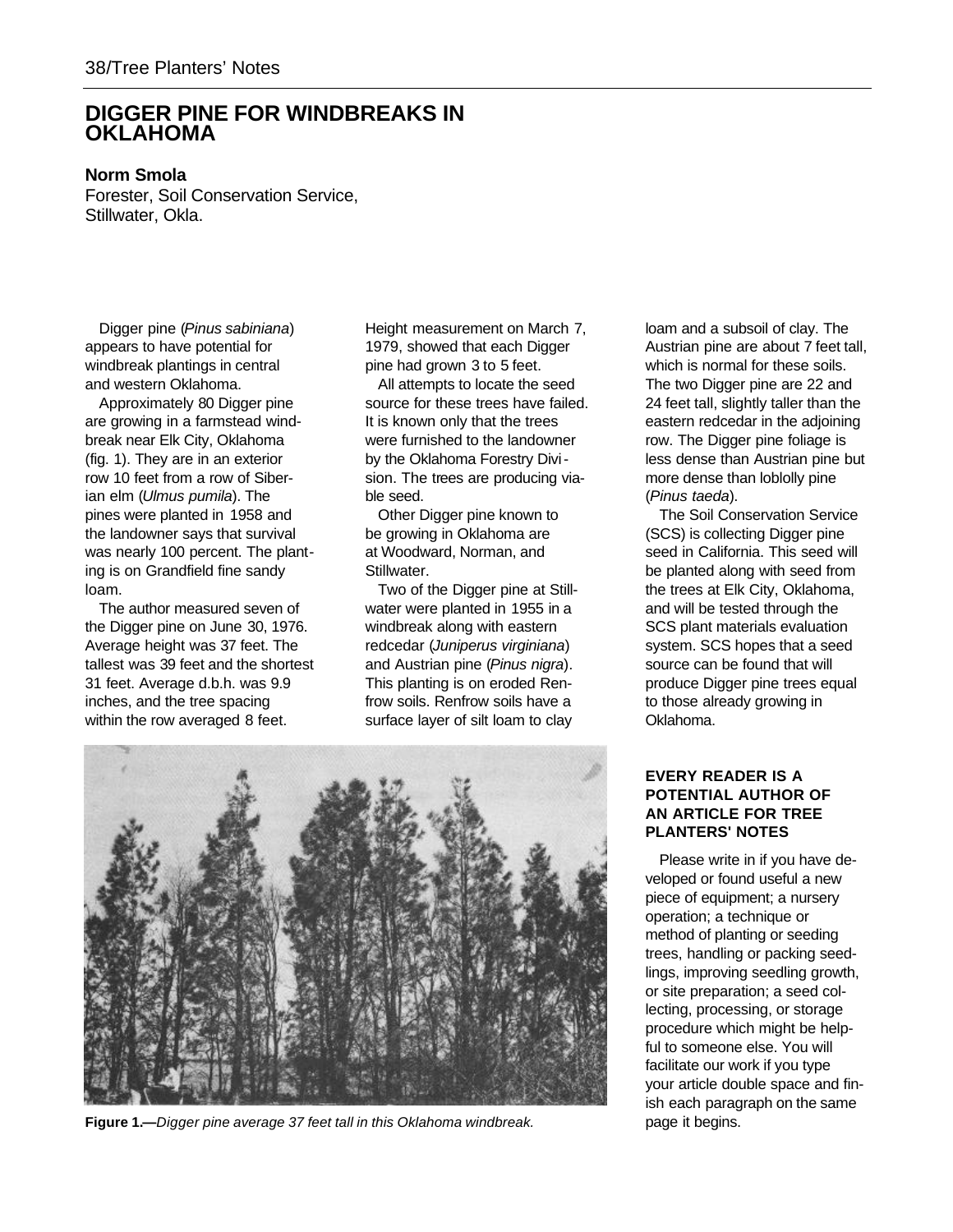## **DIGGER PINE FOR WINDBREAKS IN OKLAHOMA**

## **Norm Smola**

Forester, Soil Conservation Service, Stillwater, Okla.

Digger pine (*Pinus sabiniana*) appears to have potential for windbreak plantings in central and western Oklahoma.

Approximately 80 Digger pine are growing in a farmstead windbreak near Elk City, Oklahoma (fig. 1). They are in an exterior row 10 feet from a row of Siberian elm (*Ulmus pumila*). The pines were planted in 1958 and the landowner says that survival was nearly 100 percent. The planting is on Grandfield fine sandy loam.

The author measured seven of the Digger pine on June 30, 1976. Average height was 37 feet. The tallest was 39 feet and the shortest 31 feet. Average d.b.h. was 9.9 inches, and the tree spacing within the row averaged 8 feet.

Height measurement on March 7, 1979, showed that each Digger pine had grown 3 to 5 feet.

All attempts to locate the seed source for these trees have failed. It is known only that the trees were furnished to the landowner by the Oklahoma Forestry Division. The trees are producing viable seed.

Other Digger pine known to be growing in Oklahoma are at Woodward, Norman, and Stillwater.

Two of the Digger pine at Stillwater were planted in 1955 in a windbreak along with eastern redcedar (*Juniperus virginiana*) and Austrian pine (*Pinus nigra*). This planting is on eroded Renfrow soils. Renfrow soils have a surface layer of silt loam to clay



Figure 1.—*Digger pine average 37 feet tall in this Oklahoma windbreak.* page it begins.

loam and a subsoil of clay. The Austrian pine are about 7 feet tall, which is normal for these soils. The two Digger pine are 22 and 24 feet tall, slightly taller than the eastern redcedar in the adjoining row. The Digger pine foliage is less dense than Austrian pine but more dense than loblolly pine (*Pinus taeda*).

The Soil Conservation Service (SCS) is collecting Digger pine seed in California. This seed will be planted along with seed from the trees at Elk City, Oklahoma, and will be tested through the SCS plant materials evaluation system. SCS hopes that a seed source can be found that will produce Digger pine trees equal to those already growing in Oklahoma.

## **EVERY READER IS A POTENTIAL AUTHOR OF AN ARTICLE FOR TREE PLANTERS' NOTES**

Please write in if you have developed or found useful a new piece of equipment; a nursery operation; a technique or method of planting or seeding trees, handling or packing seedlings, improving seedling growth, or site preparation; a seed collecting, processing, or storage procedure which might be helpful to someone else. You will facilitate our work if you type your article double space and finish each paragraph on the same